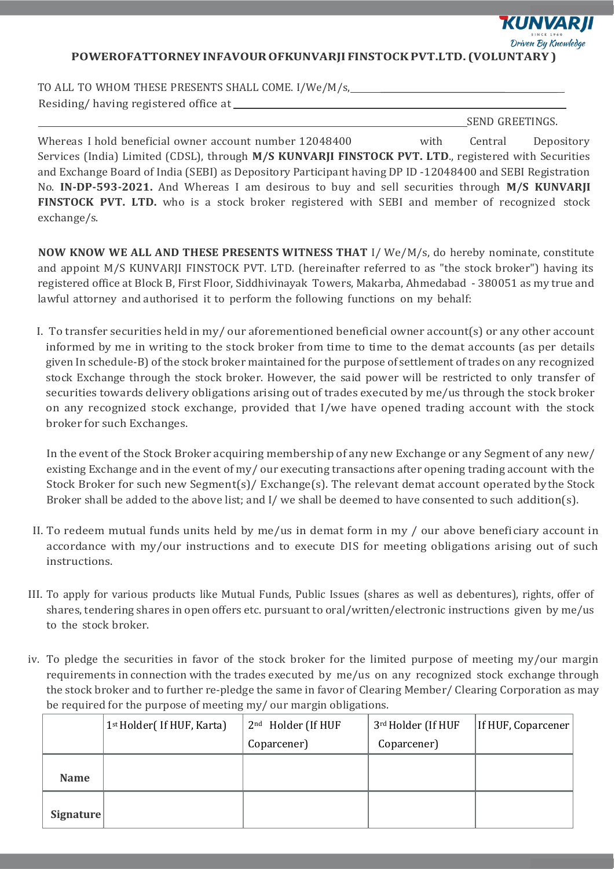**KUNVARJI** 

Driven By Knowledge

**POWEROFATTORNEY INFAVOUROFKUNVARJI FINSTOCKPVT.LTD. (VOLUNTARY )**

TO ALL TO WHOM THESE PRESENTS SHALL COME. I/We/M/s, Residing/ having registered office at

SEND GREETINGS.

Whereas I hold beneficial owner account number 12048400 with Central Depository Services (India) Limited (CDSL), through **M/S KUNVARJI FINSTOCK PVT. LTD**., registered with Securities and Exchange Board of India (SEBI) as Depository Participant having DP ID -12048400 and SEBI Registration No. **IN-DP-593-2021.** And Whereas I am desirous to buy and sell securities through **M/S KUNVARJI FINSTOCK PVT. LTD.** who is a stock broker registered with SEBI and member of recognized stock exchange/s.

**NOW KNOW WE ALL AND THESE PRESENTS WITNESS THAT** I/ We/M/s, do hereby nominate, constitute and appoint M/S KUNVARJI FINSTOCK PVT. LTD. (hereinafter referred to as "the stock broker") having its registered office at Block B, First Floor, Siddhivinayak Towers, Makarba, Ahmedabad - 380051 as my true and lawful attorney and authorised it to perform the following functions on my behalf:

I. To transfer securities held in my/ our aforementioned beneficial owner account(s) or any other account informed by me in writing to the stock broker from time to time to the demat accounts (as per details given In schedule-B) of the stock broker maintained for the purpose of settlement of trades on any recognized stock Exchange through the stock broker. However, the said power will be restricted to only transfer of securities towards delivery obligations arising out of trades executed by me/us through the stock broker on any recognized stock exchange, provided that I/we have opened trading account with the stock broker for such Exchanges.

In the event of the Stock Broker acquiring membership of any new Exchange or any Segment of any new/ existing Exchange and in the event of my/ our executing transactions after opening trading account with the Stock Broker for such new Segment(s)/ Exchange(s). The relevant demat account operated bythe Stock Broker shall be added to the above list; and I/ we shall be deemed to have consented to such addition(s).

- II. To redeem mutual funds units held by me/us in demat form in my / our above beneficiary account in accordance with my/our instructions and to execute DIS for meeting obligations arising out of such instructions.
- III. To apply for various products like Mutual Funds, Public Issues (shares as well as debentures), rights, offer of shares, tendering shares in open offers etc. pursuant to oral/written/electronic instructions given by me/us to the stock broker.
- iv. To pledge the securities in favor of the stock broker for the limited purpose of meeting my/our margin requirements in connection with the trades executed by me/us on any recognized stock exchange through the stock broker and to further re-pledge the same in favor of Clearing Member/ Clearing Corporation as may be required for the purpose of meeting my/ our margin obligations.

|             | 1st Holder( If HUF, Karta) | 2 <sup>nd</sup> Holder (If HUF | 3rd Holder (If HUF | If HUF, Coparcener |
|-------------|----------------------------|--------------------------------|--------------------|--------------------|
|             |                            | Coparcener)                    | Coparcener)        |                    |
|             |                            |                                |                    |                    |
| <b>Name</b> |                            |                                |                    |                    |
|             |                            |                                |                    |                    |
| Signature   |                            |                                |                    |                    |